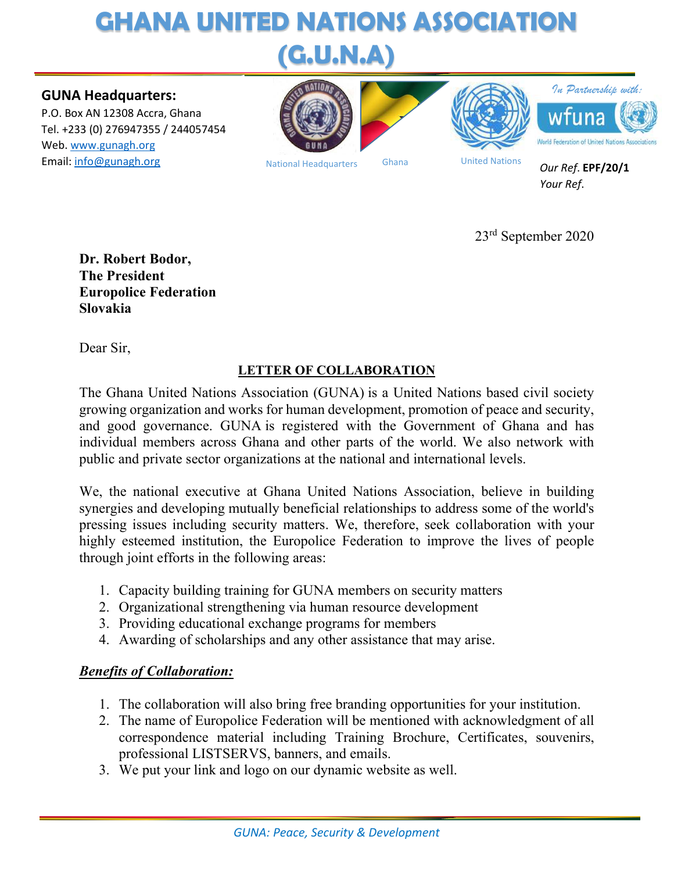## **GHANA UNITED NATIONS ASSOCIATION (G.U.N.A)**

#### **GUNA Headquarters:**

P.O. Box AN 12308 Accra, Ghana Tel. +233 (0) 276947355 / 244057454 Web. www.gunagh.org **Email:** info@gunagh.org Mational Headquarters Ghana United Nations









National Headquarters Ghana

*Our Ref*. **EPF/20/1** *Your Ref*.

23rd September 2020

**Dr. Robert Bodor, The President Europolice Federation Slovakia** 

Dear Sir,

### **LETTER OF COLLABORATION**

The Ghana United Nations Association (GUNA) is a United Nations based civil society growing organization and works for human development, promotion of peace and security, and good governance. GUNA is registered with the Government of Ghana and has individual members across Ghana and other parts of the world. We also network with public and private sector organizations at the national and international levels.

We, the national executive at Ghana United Nations Association, believe in building synergies and developing mutually beneficial relationships to address some of the world's pressing issues including security matters. We, therefore, seek collaboration with your highly esteemed institution, the Europolice Federation to improve the lives of people through joint efforts in the following areas:

- 1. Capacity building training for GUNA members on security matters
- 2. Organizational strengthening via human resource development
- 3. Providing educational exchange programs for members
- 4. Awarding of scholarships and any other assistance that may arise.

### *Benefits of Collaboration:*

- 1. The collaboration will also bring free branding opportunities for your institution.
- 2. The name of Europolice Federation will be mentioned with acknowledgment of all correspondence material including Training Brochure, Certificates, souvenirs, professional LISTSERVS, banners, and emails.
- 3. We put your link and logo on our dynamic website as well.